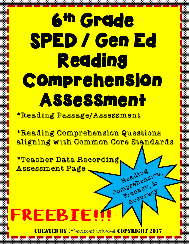## 6th Grade SPED / Gen Ed **Reading** Comprehension Assessment

\*Reading Passage/Assessment

\*Reading Comprehension Questions aligning with Common Core Standards

Reading

Recepency, &

Accuracy,

\*Teacher Data Recording Assessment Page Reading<br>Beading<br>Comprenent &

FREEBIE!

CREATED BY @ResourcesFromRachel COPYRIGI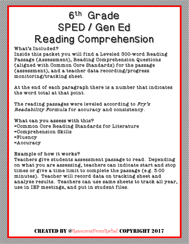### 6th Grade SPED / Gen Ed Reading Comprehension

#### What's Included?

Inside this packet you will find a Leveled 300-word Reading Passage (Assessment), Reading Comprehension Questions (aligned with Common Core Standards) for the passage (assessment), and a teacher data recording/progress monitoring/tracking sheet.

At the end of each paragraph there is a number that indicates the word total at that point.

The reading passages were leveled according to  $Fry's$ Readability Formula for accuracy and consistency.

What can you assess with this? =Common Core Reading Standards for Literature =Comprehension Skills =Fluency =Accuracy

#### Example of how it works?

Teachers give students assessment passage to read. Depending on what you are assessing, teachers can indicate start and stop times or give a time limit to complete the passage (e.g. 3:00 minutes). Teacher will record data on tracking sheet and analyze results. Teachers can use same sheets to track all year, use in IEP meetings, and put in student files.

#### CREATED BY @ResourcesFromRachel COPYR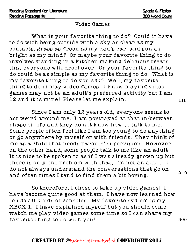#### Video Games

What is your favorite thing to do? Could it have to do with being outside with a sky as clear as my contacts, grass as green as my dad's car, and sun as bright as my mind? Or maybe your favorite thing to do involves standing in a kitchen making delicious treats that everyone will drool over. Or your favorite thing to do could be as simple as my favorite thing to do. What is my favorite thing to do you ask? Well, my favorite thing to do is play video games. I know playing video games may not be an adult's preferred activity but I am 12 and it is mine! Please let me explain.

Since I am only 12 years old, everyone seems to act weird around me. I am portrayed at that in-between phase of life and they do not know how to talk to me. Some people often feel like I am too young to do anything or go anywhere by myself or with friends. They think of me as a child that needs parents' supervision. However on the other hand, some people talk to me like an adult. It is nice to be spoken to as if I was already grown up but there is only one problem with that, I'm not an adult! I do not always understand the conversations that go on and often times I tend to find them a bit boring.

So therefore, I chose to take up video games! I have become quite good at them. I have now learned how to use all kinds of consoles. My favorite system is my XBOX 1. I have explained myself but you should come watch me play video games some time so I can share my favorite thing to do with you!

116

240

300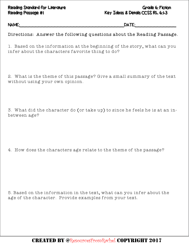#### Reading Standard for Literature Grade 6: Fiction Reading Passage #1 Key Ideas & Details CCSS RL 6:1-3

NAME:\_\_\_\_\_\_\_\_\_\_\_\_\_\_\_\_\_\_\_\_\_\_\_\_\_\_\_\_\_\_\_\_\_DATE:\_\_\_\_\_\_\_\_\_\_\_\_\_

Directions: Answer the following questions about the Reading Passage.

1. Based on the information at the beginning of the story, what can you infer about the characters favorite thing to do?

2. What is the theme of this passage? Give a small summary of the text without using your own opinion.

3. What did the character do (or take up) to since he feels he is at an inbetween age?

4. How does the characters age relate to the theme of the passage?

5. Based on the information in the text, what can you infer about the age of the character. Provide examples from your text.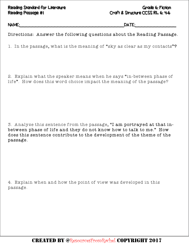#### Reading Standard for Literature Grade 6: Fiction Reading Passage #1 Craft & Structure CCSS RL 6: 4-6

NAME:\_\_\_\_\_\_\_\_\_\_\_\_\_\_\_\_\_\_\_\_\_\_\_\_\_\_\_\_\_\_\_\_\_DATE:\_\_\_\_\_\_\_\_\_\_\_\_\_

Directions: Answer the following questions about the Reading Passage.

1. In the passage, what is the meaning of "sky as clear as my contacts"?

2. Explain what the speaker means when he says "in-between phase of life". How does this word choice impact the meaning of the passage?

3. Analyze this sentence from the passage, "I am portrayed at that inbetween phase of life and they do not know how to talk to me." How does this sentence contribute to the development of the theme of the passage.

4. Explain when and how the point of view was developed in this passage.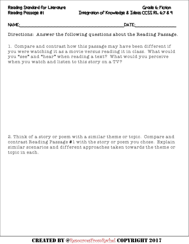Reading Standard for Literature Grade 6: Fiction Reading Passage #1 Integration of Knowledge & Ideas CCSS RL 6:7 & 9

NAME:\_\_\_\_\_\_\_\_\_\_\_\_\_\_\_\_\_\_\_\_\_\_\_\_\_\_\_\_\_\_\_\_\_DATE:\_\_\_\_\_\_\_\_\_\_\_\_\_

Directions: Answer the following questions about the Reading Passage.

1. Compare and contrast how this passage may have been different if you were watching it as a movie versus reading it in class. What would you "see" and "hear" when reading a text? What would you perceive when you watch and listen to this story on a TV?

2. Think of a story or poem with a similar theme or topic. Compare and contrast Reading Passage #1 with the story or poem you chose. Explain similar scenarios and different approaches taken towards the theme or topic in each.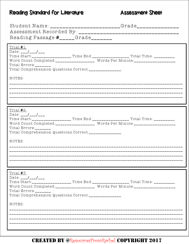#### Reading Standard for Literature

#### **Assessment Sheet**

|                                                                                                                                                                                                                                                                                                                                                                                                                               | Student Name: _______________________Grade_______________                                                                                                               |
|-------------------------------------------------------------------------------------------------------------------------------------------------------------------------------------------------------------------------------------------------------------------------------------------------------------------------------------------------------------------------------------------------------------------------------|-------------------------------------------------------------------------------------------------------------------------------------------------------------------------|
| Reading Passage $#$ <sub>_____</sub> Grade_______                                                                                                                                                                                                                                                                                                                                                                             |                                                                                                                                                                         |
| Trial <b>#</b> 1:<br>Date: $\frac{-1}{\sqrt{2}}$<br>Total Errors:________<br>Total Comprehension Questions Correct:_______________<br>NOTES:                                                                                                                                                                                                                                                                                  | Time Start:____________________ Time End:____________________ Total Time: __________<br>Word Count Completed:__________________ Words Per Minute:______________________ |
| Trial <b>#</b> 2:<br>$Date: _{---}/_{---}/_{---}$<br>Total $ErrorS:$<br>Total Comprehension Questions Correct:______________<br>NOTES:                                                                                                                                                                                                                                                                                        | Word Count Completed:_________________ Words Per Minute:________________________                                                                                        |
| Trial #3:<br>Date: $\frac{1}{2}$ $\frac{1}{2}$ $\frac{1}{2}$ $\frac{1}{2}$ $\frac{1}{2}$ $\frac{1}{2}$ $\frac{1}{2}$ $\frac{1}{2}$ $\frac{1}{2}$ $\frac{1}{2}$ $\frac{1}{2}$ $\frac{1}{2}$ $\frac{1}{2}$ $\frac{1}{2}$ $\frac{1}{2}$ $\frac{1}{2}$ $\frac{1}{2}$ $\frac{1}{2}$ $\frac{1}{2}$ $\frac{1}{2}$ $\frac{1}{2}$ $\frac{1$<br>Total Errors:________<br>Total Comprehension Questions Correct:______________<br>NOTES: | Time Start:____________________ Time End:____________________ Total Time: __________<br>Word Count Completed:_________________ Words Per Minute:____________________    |

#### **CREATED BY @ResourcesFromRachel COPYRIGHT 2017**